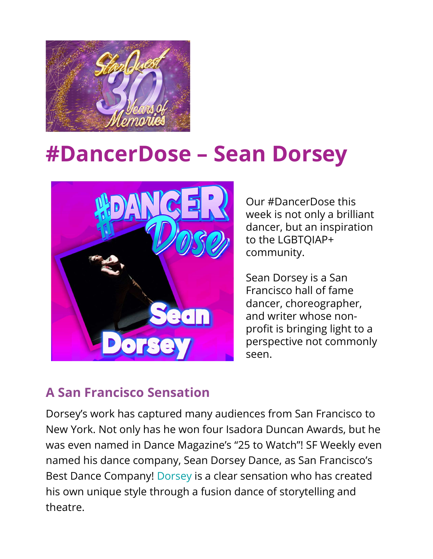

## #DancerDose – Sean Dorsey



Our #DancerDose this week is not only a brilliant dancer, but an inspiration to the LGBTQIAP+ community.

Sean Dorsey is a San Francisco hall of fame dancer, choreographer, and writer whose nonprofit is bringing light to a perspective not commonly seen.

## A San Francisco Sensation

Dorsey's work has captured many audiences from San Francisco to New York. Not only has he won four Isadora Duncan Awards, but he was even named in Dance Magazine's "25 to Watch"! SF Weekly even named his dance company, Sean Dorsey Dance, as San Francisco's Best Dance Company! Dorsey is a clear sensation who has created his own unique style through a fusion dance of storytelling and theatre.